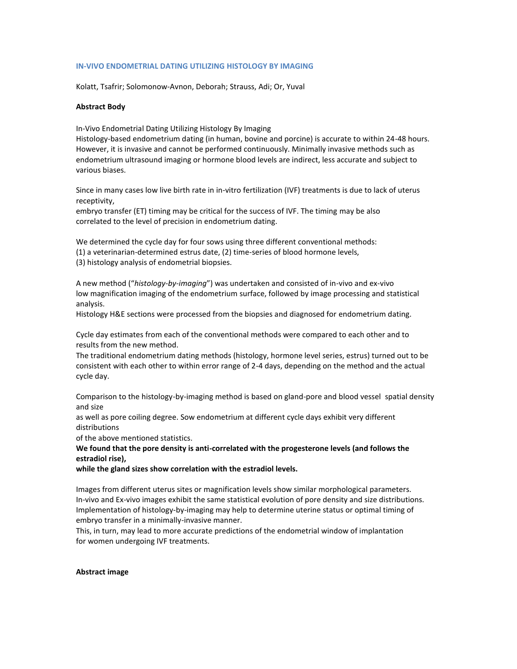## **IN-VIVO ENDOMETRIAL DATING UTILIZING HISTOLOGY BY IMAGING**

Kolatt, Tsafrir; Solomonow-Avnon, Deborah; Strauss, Adi; Or, Yuval

## **Abstract Body**

In-Vivo Endometrial Dating Utilizing Histology By Imaging

Histology-based endometrium dating (in human, bovine and porcine) is accurate to within 24-48 hours. However, it is invasive and cannot be performed continuously. Minimally invasive methods such as endometrium ultrasound imaging or hormone blood levels are indirect, less accurate and subject to various biases.

Since in many cases low live birth rate in in-vitro fertilization (IVF) treatments is due to lack of uterus receptivity,

embryo transfer (ET) timing may be critical for the success of IVF. The timing may be also correlated to the level of precision in endometrium dating.

We determined the cycle day for four sows using three different conventional methods: (1) a veterinarian-determined estrus date, (2) time-series of blood hormone levels, (3) histology analysis of endometrial biopsies.

A new method ("*histology-by-imaging*") was undertaken and consisted of in-vivo and ex-vivo low magnification imaging of the endometrium surface, followed by image processing and statistical analysis.

Histology H&E sections were processed from the biopsies and diagnosed for endometrium dating.

Cycle day estimates from each of the conventional methods were compared to each other and to results from the new method.

The traditional endometrium dating methods (histology, hormone level series, estrus) turned out to be consistent with each other to within error range of 2-4 days, depending on the method and the actual cycle day.

Comparison to the histology-by-imaging method is based on gland-pore and blood vessel spatial density and size

as well as pore coiling degree. Sow endometrium at different cycle days exhibit very different distributions

of the above mentioned statistics.

**We found that the pore density is anti-correlated with the progesterone levels (and follows the estradiol rise),**

**while the gland sizes show correlation with the estradiol levels.**

Images from different uterus sites or magnification levels show similar morphological parameters. In-vivo and Ex-vivo images exhibit the same statistical evolution of pore density and size distributions. Implementation of histology-by-imaging may help to determine uterine status or optimal timing of embryo transfer in a minimally-invasive manner.

This, in turn, may lead to more accurate predictions of the endometrial window of implantation for women undergoing IVF treatments.

## **Abstract image**